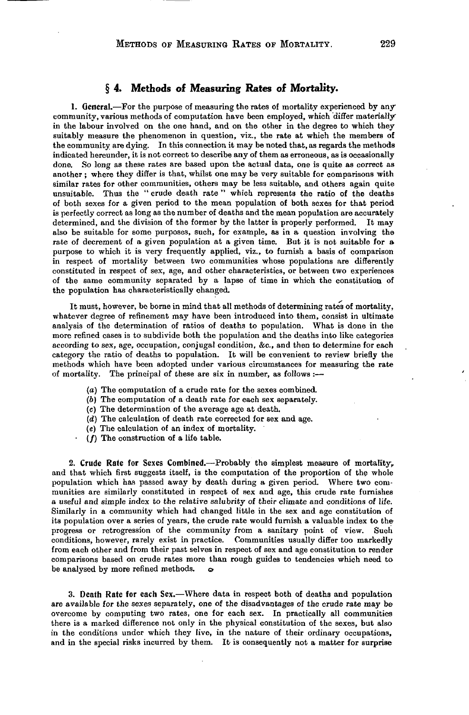## **§ 4. Methods of Measuring Rates of Mortality.**

1. General.—For the purpose of measuring the rates of mortality experienced by any community, various methods of computation have been employed, which differ materially in the labour involved on the one hand, and on the other in the degree to which they suitably measure the phenomenon in question, viz., the rate at which the members of the community are dying. In this connection it may be noted that, as regards the methods indicated hereunder, it is not correct to describe any of them as erroneous, as is occasionally done. So long as these rates are based upon the actual data, one is quite as correct as another ; where they differ is that, whilst one may be very suitable for comparisons with similar rates for other communities, others may be less suitable, and others again quite unsuitable. Thus the " crude death rate" which represents the ratio of the deaths of both sexes for a given period to the mean population of both sexes for that period is perfectly correct as long as the number of deaths and the mean population are accurately determined, and the division of the former by the latter is properly performed. It may also be suitable for some purposes, such, for example, as in a question involving the rate of decrement of a given population at a given time. But it is not suitable for a purpose to which it is very frequently applied, viz., to furnish a basis of comparison in respect of mortality between two communities whose populations are differently constituted in respect of sex, age, and other characteristics, or between two experiences of the same community separated by a lapse of time in which the constitution of the population has characteristically changed.

It must, however, be borne in mind that all methods of determining rates of mortality, whatever degree of refinement may have been introduced into them, consist in ultimate analysis of the determination of ratios of deaths to population. What is done in the more refined cases is to subdivide both the population and the deaths into like categories according to sex, age, occupation, conjugal condition, &c., and then to determine for each category the ratio of deaths to population. It will be convenient to review briefly the methods which have been adopted under various circumstances for measuring the rate of mortality. The principal of these are six in number, as follows :—

- *(a)* The computation of a crude rate for the sexes combined.
- (6) The computation of a death rate for each sex separately.
- (c) The determination of the average age at death.
- *(d)* The calculation of death rate corrected for sex and age.
- *(e)* The calculation of an index of mortality.
- $(f)$  The construction of a life table.

2. Crude Rate for Sexes Combined.—Probably the simplest measure of mortality, and that which first suggests itself, is the computation of the proportion of the whole population which has passed away by death during a given period. Where two communities are similarly constituted in respect of sex and age, this crude rate furnishes a useful and simple index to the relative salubrity of their climate and conditions of life. Similarly in a community which had changed little in the sex and age constitution of its population over a series of years, the crude rate would furnish a valuable index to theprogress or retrogression of the community from a sanitary point of view. Such conditions, however, rarely exist in practice. Communities usually differ too markedly from each other and from their past selves in respect of sex and age constitution to render comparisons based on crude rates more than rough guides to tendencies which need tobe analysed by more refined methods.  $\qquad \qquad \varphi$ 

*3.* Death Rate for each Sex.—Where data in respect both of deaths and population are available for the sexes separately, one of the disadvantages of the crude rate may be overcome by computing two rates, one for each sex. In practically all communities there is a marked difference not only in the physical constitution of the sexes, but also in the conditions under which they live, in the nature of their ordinary occupations, and in the special risks incurred by them. It is consequently not a matter for surprise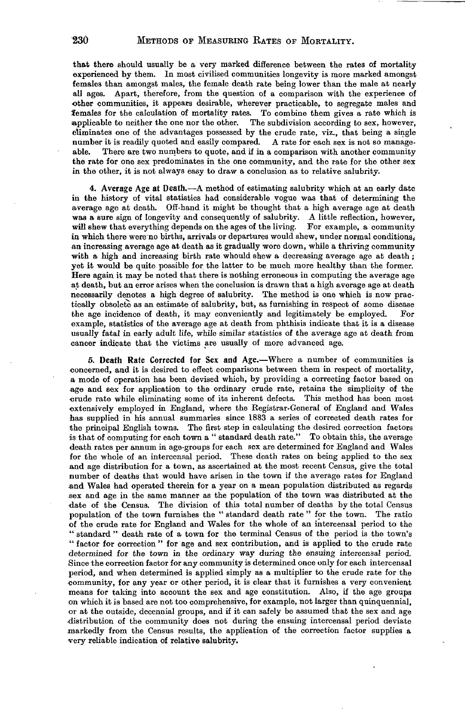that there should usually be a very marked difference between the rates of mortality experienced by them. In most civilised communities longevity is more marked amongst females than amongst males, the female death rate being lower than the male at nearly all ages. Apart, therefore, from the question of a comparison with the experience of other communities, it appears desirable, wherever practicable, to segregate males and females for the calculation of mortality rates. To combine them gives a rate which is applicable to neither the one nor the other. The subdivision according to sex, however, eliminates one of the advantages possessed by the crude rate, viz., that being a single number it is readily quoted and easily compared. A rate for each sex is not so manageable. There are two numbers to quote, and if in a comparison with another community the rate for one sex predominates in the one community, and the rate for the other sex in the other, it is not always easy to draw a conclusion as to relative salubrity.

4. Average Age at Death.—A method of estimating salubrity which at an early date in the history of vital statistics had considerable vogue was that of determining the average age at death. Off-hand it might be thought that a high average age at death was a sure sign of longevity and consequently of salubrity. A little reflection, however, will shew that everything depends on the ages of the living. For example, a community in which there were no births, arrivals or departures would shew, under normal conditions, an increasing average age at death as it gradually wore down, while a thriving community with a high and increasing birth rate whould shew a decreasing average age at death; yet it would be quite possible for the latter to be much more healthy than the former. Here again it may be noted that there is nothing erroneous in computing the average age at death, but an error arises when the conclusion is drawn that a high average age at death necessarily denotes a high degree of salubrity. The method is one which is now practically obsolete as an estimate of salubrity, but, as furnishing in respect of some disease the age incidence of death, it may conveniently and legitimately be employed. For example, statistics of the average age at death from phthisis indicate that it is a disease usually fatal in early adult life, while similar statistics of the average age at death from cancer indicate that the victims are usually of more advanced age.

5. Death Rate Corrected for Sex and Age.—Where a number of communities is concerned, and it is desired to effect comparisons between them in respect of mortality, a mode of operation has been devised which, by providing a correcting factor based on age and sex for application to the ordinary crude rate, retains the simplicity of the crude rate while eliminating some of its inherent defects. This method has been most extensively employed in England, where the Registrar-General of England and Wales has supplied in his annual summaries since 1883 a series of corrected death rates for the principal English towns. The first step in calculating the desired correction factors is that of computing for each town a " standard death rate." To obtain this, the average death rates per annum in age-groups for each sex are determined for England and Wales for the whole of an intercensal period. These death rates on being applied to the sex and age distribution for a town, as ascertained at the most recent Census, give the total number of deaths that would have arisen in the town if the average rates for England and Wales had operated therein for a year on a mean population distributed as regards sex and age in the same manner as the population of the town was distributed at the date of the Census. The division of this total number of deaths by the total Census population of the town furnishes the " standard death rate " for the town. The ratio of the crude rate for England and Wales for the whole of an intercensal period to the " standard " death rate of a town for the terminal Census of the period is the town's " factor for correction " for age and sex contribution, and is applied to the crude rate determined for the town in the ordinary way during the ensuing intercensal period. Since the correction factor for any community is determined once only for each intercensal period, and when determined is applied simply as a multiplier to the crude rate for the community, for any year or other period, it is clear that it furnishes a very convenient means for taking into account the sex and age constitution. Also, if the age groups on which it is based are not too comprehensive, for example, not larger than quinquennial, or at the outside, decennial groups, and if it can safely be assumed that the sex and age distribution of the community does not during the ensuing intercensal period deviate markedly from the Census results, the application of the correction factor supplies a very reliable indication of relative salubrity.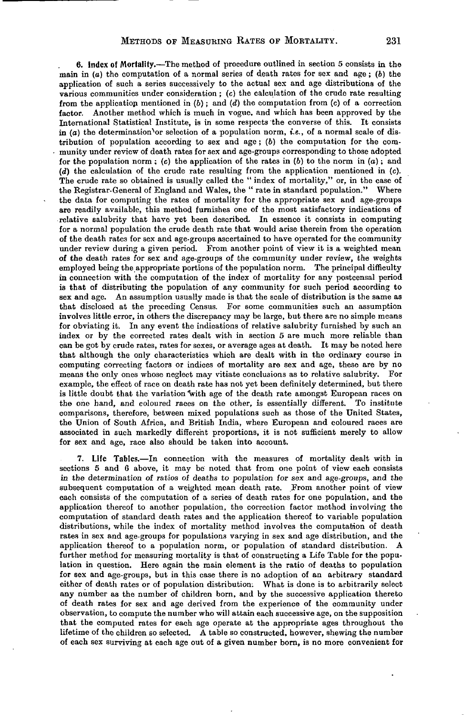6. Index of Mortality.—The method of procedure outlined in section 5 consists in the main in  $(a)$  the computation of a normal series of death rates for sex and age;  $(b)$  the application of such a series successively to the actual sex and age distributions of the various communities under consideration; *(c)* the calculation of the crude rate resulting from the application mentioned in  $(b)$ ; and  $(d)$  the computation from  $(c)$  of a correction factor. Another method which is much in vogue, and which has been approved by the International Statistical Institute, is in some respects the converse of this. It consists in  $(a)$  the determination or selection of a population norm, *i.e.*, of a normal scale of distribution of population according to sex and age; (b) the computation for the community under review of death rates for sex and age-groups corresponding to those adopted for the population norm ; (c) the application of the rates in (6) to the norm in *(a);* and *(d)* the calculation of the crude rate resulting from the application mentioned in (c). The crude rate so obtained is usually called the "index of mortality," or, in the case of the Registrar-General of England and Wales, the " rate in standard population." Where the data for computing the rates of mortality for the appropriate sex and age-groups are readily available, this method furnishes one of the most satisfactory indications of relative salubrity that have yet been described. In essence it consists in computing for a normal population the crude death rate that would arise therein from the operation of the death rates for sex and age-groups ascertained to have operated for the community under review during a given period. From another point of view it is a weighted mean of the death rates for sex and age-groups of the community under review, the weights employed being the appropriate portions of the population norm. The principal difficulty in connection with the computation of the index of mortality for any postcensal period is that of distributing the population of any community for such period according to sex and age. An assumption usually made is that the scale of distribution is the same as that disclosed at the preceding Census. For some communities such an assumption involves little error, in others the discrepancy may be large, but there are no simple means for obviating it. In any event the indications of relative salubrity furnished by such an index or by the corrected rates dealt with in section 5 are much more reliable than can be got by crude rates, rates for sexes, or average ages at death. It may be noted here that although the only characteristics which are dealt with in the ordinary course in computing correcting factors or indices of mortality are sex and age, these are by no means the only ones whose neglect may vitiate conclusions as to relative salubrity. For example, the effect of race on death rate has not yet been definitely determined, but there is little doubt that the variation "with age of the death rate amongst European races on the one hand, and coloured races on the other, is essentially different. To institute comparisons, therefore, between mixed populations such as those of the United States, the Union of South Africa, and British India, where European and coloured races are associated in such markedly different proportions, it is not sufficient merely to allow for sex and age, race also should be taken into account.

7. Life Tables.—In connection with the measures of mortality dealt with in sections 5 and 6 above, it may be noted that from one point of view each consists in the determination of ratios of deaths to population for sex and age-groups, and the subsequent computation of a weighted mean death rate. From another point of view each consists of the computation of a series of death rates for one population, and the application thereof to another population, the correction factor method involving the computation of standard death rates and the application thereof to variable population distributions, while the index of mortality method involves the computation of death rates in sex and age-groups for populations varying in sex and age distribution, and the application thereof to a population norm, or population of standard distribution. A further method for measuring mortality is that of constructing a Life Table for the population in question. Here again the main element is the ratio of deaths to population for sex and age-groups, but in this case there is no adoption of an arbitrary standard either of death rates or of population distribution. What is done is to arbitrarily select any number as the number of children born, and by the successive application thereto of death rates for sex and age derived from the experience of the community under observation, to compute the number who will attain each successive age, on the supposition that the computed rates for each age operate at the appropriate ages throughout the lifetime of the children so selected. A table so constructed, however, shewing the number of each sex surviving at each age out of a given number born, is no more convenient for